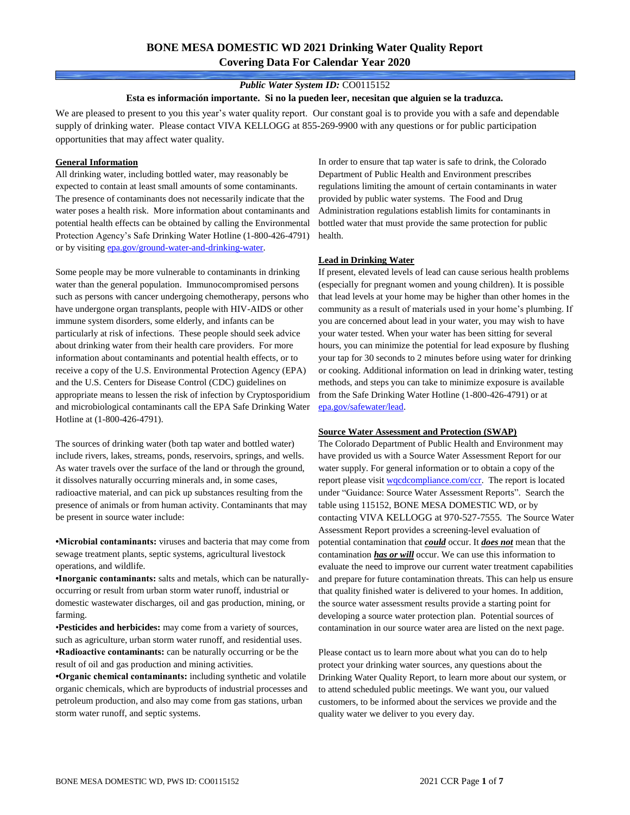# **BONE MESA DOMESTIC WD 2021 Drinking Water Quality Report Covering Data For Calendar Year 2020**

### *Public Water System ID:* CO0115152

#### **Esta es información importante. Si no la pueden leer, necesitan que alguien se la traduzca.**

We are pleased to present to you this year's water quality report. Our constant goal is to provide you with a safe and dependable supply of drinking water. Please contact VIVA KELLOGG at 855-269-9900 with any questions or for public participation opportunities that may affect water quality.

#### **General Information**

All drinking water, including bottled water, may reasonably be expected to contain at least small amounts of some contaminants. The presence of contaminants does not necessarily indicate that the water poses a health risk. More information about contaminants and potential health effects can be obtained by calling the Environmental Protection Agency's Safe Drinking Water Hotline (1-800-426-4791) or by visiting [epa.gov/ground-water-and-drinking-water.](https://www.epa.gov/ground-water-and-drinking-water)

Some people may be more vulnerable to contaminants in drinking water than the general population. Immunocompromised persons such as persons with cancer undergoing chemotherapy, persons who have undergone organ transplants, people with HIV-AIDS or other immune system disorders, some elderly, and infants can be particularly at risk of infections. These people should seek advice about drinking water from their health care providers. For more information about contaminants and potential health effects, or to receive a copy of the U.S. Environmental Protection Agency (EPA) and the U.S. Centers for Disease Control (CDC) guidelines on appropriate means to lessen the risk of infection by Cryptosporidium and microbiological contaminants call the EPA Safe Drinking Water Hotline at (1-800-426-4791).

The sources of drinking water (both tap water and bottled water) include rivers, lakes, streams, ponds, reservoirs, springs, and wells. As water travels over the surface of the land or through the ground, it dissolves naturally occurring minerals and, in some cases, radioactive material, and can pick up substances resulting from the presence of animals or from human activity. Contaminants that may be present in source water include:

**•Microbial contaminants:** viruses and bacteria that may come from sewage treatment plants, septic systems, agricultural livestock operations, and wildlife.

**•Inorganic contaminants:** salts and metals, which can be naturallyoccurring or result from urban storm water runoff, industrial or domestic wastewater discharges, oil and gas production, mining, or farming.

•**Pesticides and herbicides:** may come from a variety of sources, such as agriculture, urban storm water runoff, and residential uses. **•Radioactive contaminants:** can be naturally occurring or be the result of oil and gas production and mining activities.

**•Organic chemical contaminants:** including synthetic and volatile organic chemicals, which are byproducts of industrial processes and petroleum production, and also may come from gas stations, urban storm water runoff, and septic systems.

In order to ensure that tap water is safe to drink, the Colorado Department of Public Health and Environment prescribes regulations limiting the amount of certain contaminants in water provided by public water systems. The Food and Drug Administration regulations establish limits for contaminants in bottled water that must provide the same protection for public health.

### **Lead in Drinking Water**

If present, elevated levels of lead can cause serious health problems (especially for pregnant women and young children). It is possible that lead levels at your home may be higher than other homes in the community as a result of materials used in your home's plumbing. If you are concerned about lead in your water, you may wish to have your water tested. When your water has been sitting for several hours, you can minimize the potential for lead exposure by flushing your tap for 30 seconds to 2 minutes before using water for drinking or cooking. Additional information on lead in drinking water, testing methods, and steps you can take to minimize exposure is available from the Safe Drinking Water Hotline (1-800-426-4791) or at [epa.gov/safewater/lead.](http://www.epa.gov/safewater/lead) 

#### **Source Water Assessment and Protection (SWAP)**

The Colorado Department of Public Health and Environment may have provided us with a Source Water Assessment Report for our water supply. For general information or to obtain a copy of the report please visit [wqcdcompliance.com/ccr.](https://wqcdcompliance.com/ccr) The report is located under "Guidance: Source Water Assessment Reports". Search the table using 115152, BONE MESA DOMESTIC WD, or by contacting VIVA KELLOGG at 970-527-7555. The Source Water Assessment Report provides a screening-level evaluation of potential contamination that *could* occur. It *does not* mean that the contamination *has or will* occur. We can use this information to evaluate the need to improve our current water treatment capabilities and prepare for future contamination threats. This can help us ensure that quality finished water is delivered to your homes. In addition, the source water assessment results provide a starting point for developing a source water protection plan. Potential sources of contamination in our source water area are listed on the next page.

Please contact us to learn more about what you can do to help protect your drinking water sources, any questions about the Drinking Water Quality Report, to learn more about our system, or to attend scheduled public meetings. We want you, our valued customers, to be informed about the services we provide and the quality water we deliver to you every day.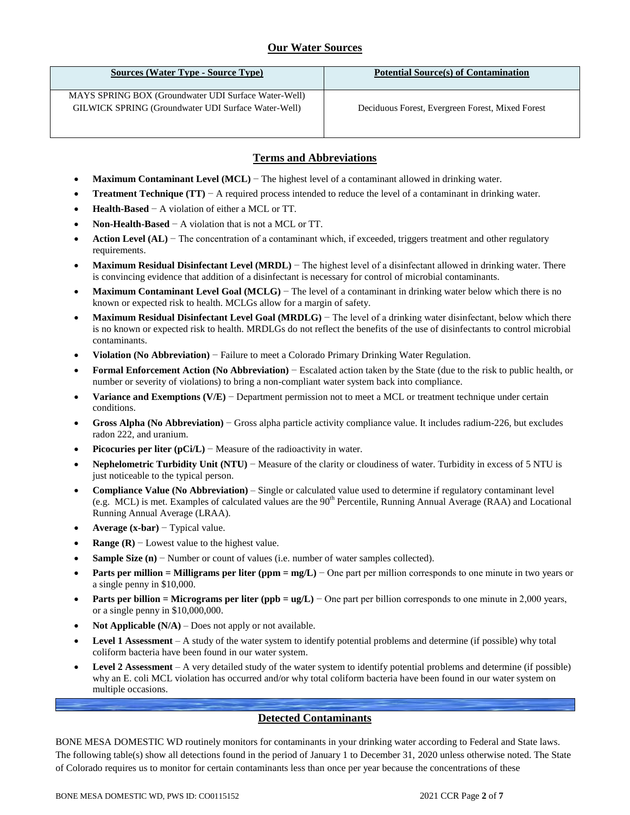## **Our Water Sources**

| Sources (Water Type - Source Type)                                                                          | <b>Potential Source(s) of Contamination</b>      |
|-------------------------------------------------------------------------------------------------------------|--------------------------------------------------|
| MAYS SPRING BOX (Groundwater UDI Surface Water-Well)<br>GILWICK SPRING (Groundwater UDI Surface Water-Well) | Deciduous Forest, Evergreen Forest, Mixed Forest |

## **Terms and Abbreviations**

- **Maximum Contaminant Level (MCL)** − The highest level of a contaminant allowed in drinking water.
- **Treatment Technique (TT)** − A required process intended to reduce the level of a contaminant in drinking water.
- **Health-Based** − A violation of either a MCL or TT.
- **Non-Health-Based** − A violation that is not a MCL or TT.
- **Action Level (AL)** − The concentration of a contaminant which, if exceeded, triggers treatment and other regulatory requirements.
- **Maximum Residual Disinfectant Level (MRDL)** − The highest level of a disinfectant allowed in drinking water. There is convincing evidence that addition of a disinfectant is necessary for control of microbial contaminants.
- **Maximum Contaminant Level Goal (MCLG)** − The level of a contaminant in drinking water below which there is no known or expected risk to health. MCLGs allow for a margin of safety.
- **Maximum Residual Disinfectant Level Goal (MRDLG)** − The level of a drinking water disinfectant, below which there is no known or expected risk to health. MRDLGs do not reflect the benefits of the use of disinfectants to control microbial contaminants.
- **Violation (No Abbreviation)** − Failure to meet a Colorado Primary Drinking Water Regulation.
- **Formal Enforcement Action (No Abbreviation)** − Escalated action taken by the State (due to the risk to public health, or number or severity of violations) to bring a non-compliant water system back into compliance.
- **Variance and Exemptions (V/E)** − Department permission not to meet a MCL or treatment technique under certain conditions.
- **Gross Alpha (No Abbreviation)** − Gross alpha particle activity compliance value. It includes radium-226, but excludes radon 222, and uranium.
- **Picocuries per liter (pCi/L)** − Measure of the radioactivity in water.
- **Nephelometric Turbidity Unit (NTU)** − Measure of the clarity or cloudiness of water. Turbidity in excess of 5 NTU is just noticeable to the typical person.
- **Compliance Value (No Abbreviation)** Single or calculated value used to determine if regulatory contaminant level (e.g. MCL) is met. Examples of calculated values are the  $90<sup>th</sup>$  Percentile, Running Annual Average (RAA) and Locational Running Annual Average (LRAA).
- **Average (x-bar)** − Typical value.
- **Range (R)** − Lowest value to the highest value.
- **Sample Size (n)** − Number or count of values (i.e. number of water samples collected).
- **Parts per million = Milligrams per liter (ppm = mg/L)** − One part per million corresponds to one minute in two years or a single penny in \$10,000.
- **Parts per billion = Micrograms per liter (ppb = ug/L)** − One part per billion corresponds to one minute in 2,000 years, or a single penny in \$10,000,000.
- **Not Applicable (N/A)** Does not apply or not available.
- **Level 1 Assessment** A study of the water system to identify potential problems and determine (if possible) why total coliform bacteria have been found in our water system.
- **Level 2 Assessment** A very detailed study of the water system to identify potential problems and determine (if possible) why an E. coli MCL violation has occurred and/or why total coliform bacteria have been found in our water system on multiple occasions.

## **Detected Contaminants**

BONE MESA DOMESTIC WD routinely monitors for contaminants in your drinking water according to Federal and State laws. The following table(s) show all detections found in the period of January 1 to December 31, 2020 unless otherwise noted. The State of Colorado requires us to monitor for certain contaminants less than once per year because the concentrations of these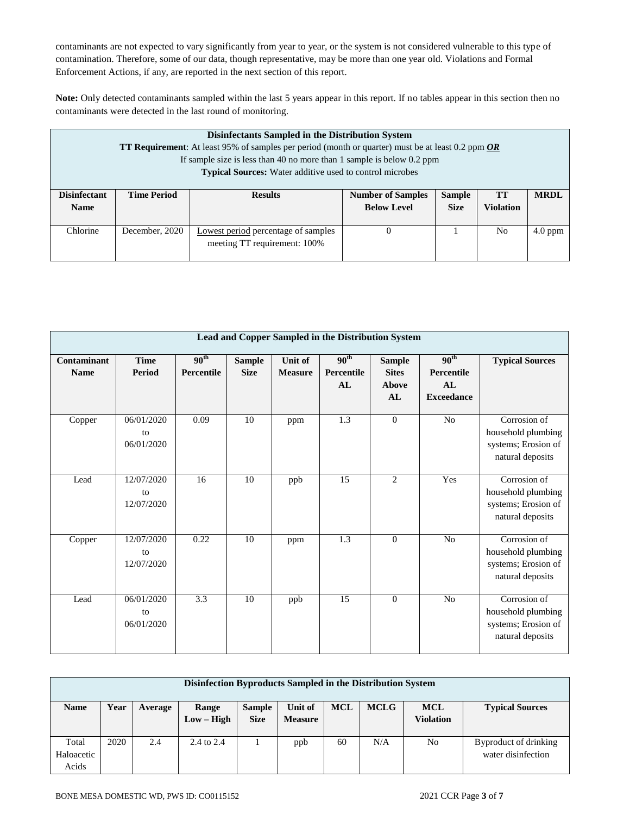contaminants are not expected to vary significantly from year to year, or the system is not considered vulnerable to this type of contamination. Therefore, some of our data, though representative, may be more than one year old. Violations and Formal Enforcement Actions, if any, are reported in the next section of this report.

**Note:** Only detected contaminants sampled within the last 5 years appear in this report. If no tables appear in this section then no contaminants were detected in the last round of monitoring.

|                     | Disinfectants Sampled in the Distribution System<br>TT Requirement: At least 95% of samples per period (month or quarter) must be at least 0.2 ppm OR<br>If sample size is less than 40 no more than 1 sample is below 0.2 ppm<br><b>Typical Sources:</b> Water additive used to control microbes |                                            |                          |               |                  |             |  |  |
|---------------------|---------------------------------------------------------------------------------------------------------------------------------------------------------------------------------------------------------------------------------------------------------------------------------------------------|--------------------------------------------|--------------------------|---------------|------------------|-------------|--|--|
| <b>Disinfectant</b> | <b>Time Period</b>                                                                                                                                                                                                                                                                                | <b>Results</b>                             | <b>Number of Samples</b> | <b>Sample</b> | TT               | <b>MRDL</b> |  |  |
| <b>Name</b>         |                                                                                                                                                                                                                                                                                                   |                                            | <b>Below Level</b>       | <b>Size</b>   | <b>Violation</b> |             |  |  |
| Chlorine            | December, 2020                                                                                                                                                                                                                                                                                    | <b>Lowest period percentage of samples</b> | $\theta$                 |               | N <sub>0</sub>   | $4.0$ ppm   |  |  |
|                     |                                                                                                                                                                                                                                                                                                   | meeting TT requirement: 100%               |                          |               |                  |             |  |  |

|                            |                                |                                |                              |                           | Lead and Copper Sampled in the Distribution System |                                              |                                                           |                                                                               |
|----------------------------|--------------------------------|--------------------------------|------------------------------|---------------------------|----------------------------------------------------|----------------------------------------------|-----------------------------------------------------------|-------------------------------------------------------------------------------|
| Contaminant<br><b>Name</b> | <b>Time</b><br>Period          | 90 <sup>th</sup><br>Percentile | <b>Sample</b><br><b>Size</b> | Unit of<br><b>Measure</b> | 90 <sup>th</sup><br>Percentile<br>AL               | <b>Sample</b><br><b>Sites</b><br>Above<br>AL | 90 <sup>th</sup><br>Percentile<br>AI<br><b>Exceedance</b> | <b>Typical Sources</b>                                                        |
| Copper                     | 06/01/2020<br>to<br>06/01/2020 | 0.09                           | 10                           | ppm                       | $\overline{1.3}$                                   | $\overline{0}$                               | N <sub>o</sub>                                            | Corrosion of<br>household plumbing<br>systems; Erosion of<br>natural deposits |
| Lead                       | 12/07/2020<br>to<br>12/07/2020 | 16                             | 10                           | ppb                       | 15                                                 | $\overline{2}$                               | Yes                                                       | Corrosion of<br>household plumbing<br>systems; Erosion of<br>natural deposits |
| Copper                     | 12/07/2020<br>to<br>12/07/2020 | 0.22                           | 10                           | ppm                       | 1.3                                                | $\theta$                                     | No                                                        | Corrosion of<br>household plumbing<br>systems; Erosion of<br>natural deposits |
| Lead                       | 06/01/2020<br>to<br>06/01/2020 | 3.3                            | 10                           | ppb                       | 15                                                 | $\theta$                                     | N <sub>o</sub>                                            | Corrosion of<br>household plumbing<br>systems; Erosion of<br>natural deposits |

|                              | Disinfection Byproducts Sampled in the Distribution System |         |                       |                              |                           |            |             |                                |                                             |  |
|------------------------------|------------------------------------------------------------|---------|-----------------------|------------------------------|---------------------------|------------|-------------|--------------------------------|---------------------------------------------|--|
| <b>Name</b>                  | Year                                                       | Average | Range<br>$Low - High$ | <b>Sample</b><br><b>Size</b> | Unit of<br><b>Measure</b> | <b>MCL</b> | <b>MCLG</b> | <b>MCL</b><br><b>Violation</b> | <b>Typical Sources</b>                      |  |
| Total<br>Haloacetic<br>Acids | 2020                                                       | 2.4     | $2.4 \text{ to } 2.4$ |                              | ppb                       | 60         | N/A         | No                             | Byproduct of drinking<br>water disinfection |  |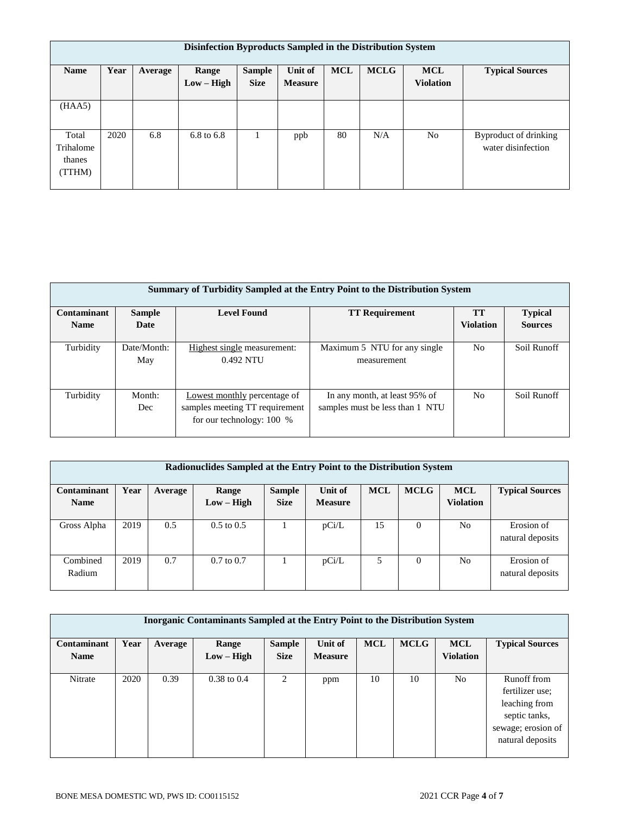|                                        | Disinfection Byproducts Sampled in the Distribution System |         |                       |                              |                           |            |             |                                |                                             |  |
|----------------------------------------|------------------------------------------------------------|---------|-----------------------|------------------------------|---------------------------|------------|-------------|--------------------------------|---------------------------------------------|--|
| <b>Name</b>                            | Year                                                       | Average | Range<br>$Low - High$ | <b>Sample</b><br><b>Size</b> | Unit of<br><b>Measure</b> | <b>MCL</b> | <b>MCLG</b> | <b>MCL</b><br><b>Violation</b> | <b>Typical Sources</b>                      |  |
| (HAA5)                                 |                                                            |         |                       |                              |                           |            |             |                                |                                             |  |
| Total<br>Trihalome<br>thanes<br>(TTHM) | 2020                                                       | 6.8     | 6.8 to 6.8            |                              | ppb                       | 80         | N/A         | N <sub>o</sub>                 | Byproduct of drinking<br>water disinfection |  |

|                              | Summary of Turbidity Sampled at the Entry Point to the Distribution System |                                                                                               |                                                                  |                  |                |  |  |  |  |  |
|------------------------------|----------------------------------------------------------------------------|-----------------------------------------------------------------------------------------------|------------------------------------------------------------------|------------------|----------------|--|--|--|--|--|
| Contaminant<br><b>Sample</b> |                                                                            | <b>Level Found</b>                                                                            | <b>TT Requirement</b>                                            | <b>TT</b>        | <b>Typical</b> |  |  |  |  |  |
| <b>Name</b>                  | Date                                                                       |                                                                                               |                                                                  | <b>Violation</b> | <b>Sources</b> |  |  |  |  |  |
| Turbidity                    | Date/Month:<br>May                                                         | Highest single measurement:<br>0.492 NTU                                                      | Maximum 5 NTU for any single<br>measurement                      | N <sub>0</sub>   | Soil Runoff    |  |  |  |  |  |
| Turbidity                    | Month:<br>Dec                                                              | Lowest monthly percentage of<br>samples meeting TT requirement<br>for our technology: $100\%$ | In any month, at least 95% of<br>samples must be less than 1 NTU | N <sub>0</sub>   | Soil Runoff    |  |  |  |  |  |

|             | Radionuclides Sampled at the Entry Point to the Distribution System |         |                       |               |                |            |             |                  |                        |  |  |
|-------------|---------------------------------------------------------------------|---------|-----------------------|---------------|----------------|------------|-------------|------------------|------------------------|--|--|
| Contaminant | Year                                                                | Average | Range                 | <b>Sample</b> | Unit of        | <b>MCL</b> | <b>MCLG</b> | <b>MCL</b>       | <b>Typical Sources</b> |  |  |
| <b>Name</b> |                                                                     |         | $Low - High$          | <b>Size</b>   | <b>Measure</b> |            |             | <b>Violation</b> |                        |  |  |
|             |                                                                     |         |                       |               |                |            |             |                  |                        |  |  |
| Gross Alpha | 2019                                                                | 0.5     | $0.5 \text{ to } 0.5$ |               | pCi/L          | 15         | $\Omega$    | N <sub>o</sub>   | Erosion of             |  |  |
|             |                                                                     |         |                       |               |                |            |             |                  | natural deposits       |  |  |
|             |                                                                     |         |                       |               |                |            |             |                  |                        |  |  |
| Combined    | 2019                                                                | 0.7     | $0.7$ to $0.7$        |               | pCi/L          | 5          | 0           | N <sub>o</sub>   | Erosion of             |  |  |
| Radium      |                                                                     |         |                       |               |                |            |             |                  | natural deposits       |  |  |
|             |                                                                     |         |                       |               |                |            |             |                  |                        |  |  |

|                            | <b>Inorganic Contaminants Sampled at the Entry Point to the Distribution System</b> |         |                       |                              |                           |            |             |                                |                                                                                                            |
|----------------------------|-------------------------------------------------------------------------------------|---------|-----------------------|------------------------------|---------------------------|------------|-------------|--------------------------------|------------------------------------------------------------------------------------------------------------|
| Contaminant<br><b>Name</b> | Year                                                                                | Average | Range<br>$Low - High$ | <b>Sample</b><br><b>Size</b> | Unit of<br><b>Measure</b> | <b>MCL</b> | <b>MCLG</b> | <b>MCL</b><br><b>Violation</b> | <b>Typical Sources</b>                                                                                     |
| Nitrate                    | 2020                                                                                | 0.39    | $0.38$ to $0.4$       | 2                            | ppm                       | 10         | 10          | No                             | Runoff from<br>fertilizer use:<br>leaching from<br>septic tanks,<br>sewage; erosion of<br>natural deposits |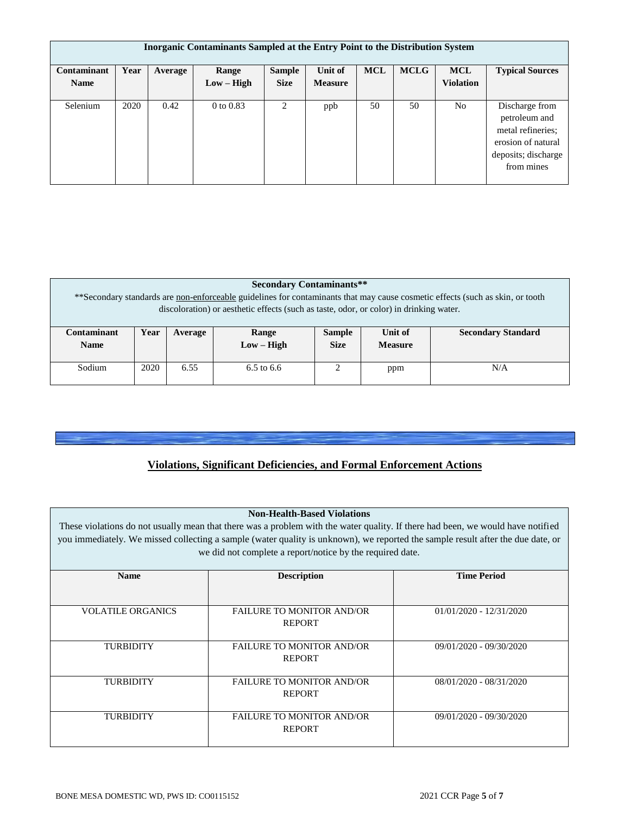|             | <b>Inorganic Contaminants Sampled at the Entry Point to the Distribution System</b> |         |               |               |                |            |             |                  |                        |  |
|-------------|-------------------------------------------------------------------------------------|---------|---------------|---------------|----------------|------------|-------------|------------------|------------------------|--|
| Contaminant | Year                                                                                | Average | Range         | <b>Sample</b> | Unit of        | <b>MCL</b> | <b>MCLG</b> | <b>MCL</b>       | <b>Typical Sources</b> |  |
| <b>Name</b> |                                                                                     |         | $Low - High$  | <b>Size</b>   | <b>Measure</b> |            |             | <b>Violation</b> |                        |  |
|             |                                                                                     |         |               |               |                |            |             |                  |                        |  |
| Selenium    | 2020                                                                                | 0.42    | $0$ to $0.83$ | 2             | ppb            | 50         | 50          | N <sub>o</sub>   | Discharge from         |  |
|             |                                                                                     |         |               |               |                |            |             |                  | petroleum and          |  |
|             |                                                                                     |         |               |               |                |            |             |                  | metal refineries;      |  |
|             |                                                                                     |         |               |               |                |            |             |                  | erosion of natural     |  |
|             |                                                                                     |         |               |               |                |            |             |                  | deposits; discharge    |  |
|             |                                                                                     |         |               |               |                |            |             |                  | from mines             |  |
|             |                                                                                     |         |               |               |                |            |             |                  |                        |  |

|                            | <b>Secondary Contaminants**</b><br>**Secondary standards are non-enforceable guidelines for contaminants that may cause cosmetic effects (such as skin, or tooth<br>discoloration) or aesthetic effects (such as taste, odor, or color) in drinking water. |         |                       |                              |                           |                           |  |  |  |
|----------------------------|------------------------------------------------------------------------------------------------------------------------------------------------------------------------------------------------------------------------------------------------------------|---------|-----------------------|------------------------------|---------------------------|---------------------------|--|--|--|
| Contaminant<br><b>Name</b> | Year                                                                                                                                                                                                                                                       | Average | Range<br>$Low - High$ | <b>Sample</b><br><b>Size</b> | Unit of<br><b>Measure</b> | <b>Secondary Standard</b> |  |  |  |
| Sodium                     | 2020                                                                                                                                                                                                                                                       | 6.55    | 6.5 to 6.6            |                              | ppm                       | N/A                       |  |  |  |

# **Violations, Significant Deficiencies, and Formal Enforcement Actions**

### **Non-Health-Based Violations**

These violations do not usually mean that there was a problem with the water quality. If there had been, we would have notified you immediately. We missed collecting a sample (water quality is unknown), we reported the sample result after the due date, or we did not complete a report/notice by the required date.

| <b>Name</b>              | <b>Description</b>               | <b>Time Period</b>        |
|--------------------------|----------------------------------|---------------------------|
|                          |                                  |                           |
|                          |                                  |                           |
| <b>VOLATILE ORGANICS</b> | <b>FAILURE TO MONITOR AND/OR</b> | $01/01/2020 - 12/31/2020$ |
|                          | <b>REPORT</b>                    |                           |
|                          |                                  |                           |
| <b>TURBIDITY</b>         | <b>FAILURE TO MONITOR AND/OR</b> | 09/01/2020 - 09/30/2020   |
|                          | <b>REPORT</b>                    |                           |
|                          |                                  |                           |
| <b>TURBIDITY</b>         | <b>FAILURE TO MONITOR AND/OR</b> | 08/01/2020 - 08/31/2020   |
|                          | <b>REPORT</b>                    |                           |
|                          |                                  |                           |
| <b>TURBIDITY</b>         | <b>FAILURE TO MONITOR AND/OR</b> | 09/01/2020 - 09/30/2020   |
|                          | <b>REPORT</b>                    |                           |
|                          |                                  |                           |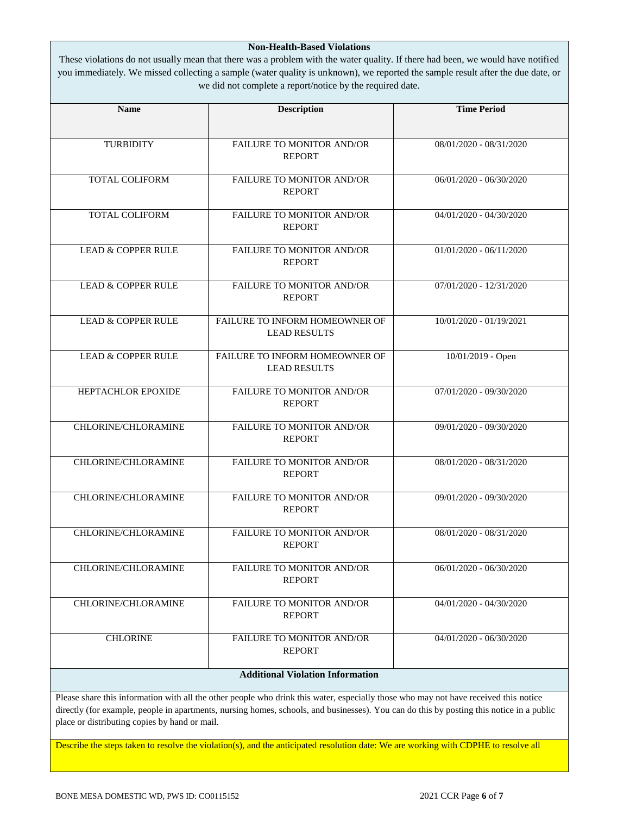### **Non-Health-Based Violations**

These violations do not usually mean that there was a problem with the water quality. If there had been, we would have notified you immediately. We missed collecting a sample (water quality is unknown), we reported the sample result after the due date, or we did not complete a report/notice by the required date.

| <b>Name</b>                   | <b>Description</b>                                    | <b>Time Period</b>        |
|-------------------------------|-------------------------------------------------------|---------------------------|
| <b>TURBIDITY</b>              | FAILURE TO MONITOR AND/OR                             | 08/01/2020 - 08/31/2020   |
|                               | <b>REPORT</b>                                         |                           |
| <b>TOTAL COLIFORM</b>         | FAILURE TO MONITOR AND/OR<br><b>REPORT</b>            | $06/01/2020 - 06/30/2020$ |
| <b>TOTAL COLIFORM</b>         | FAILURE TO MONITOR AND/OR<br><b>REPORT</b>            | 04/01/2020 - 04/30/2020   |
| <b>LEAD &amp; COPPER RULE</b> | <b>FAILURE TO MONITOR AND/OR</b><br><b>REPORT</b>     | $01/01/2020 - 06/11/2020$ |
| <b>LEAD &amp; COPPER RULE</b> | FAILURE TO MONITOR AND/OR<br><b>REPORT</b>            | $07/01/2020 - 12/31/2020$ |
| <b>LEAD &amp; COPPER RULE</b> | FAILURE TO INFORM HOMEOWNER OF<br><b>LEAD RESULTS</b> | 10/01/2020 - 01/19/2021   |
| <b>LEAD &amp; COPPER RULE</b> | FAILURE TO INFORM HOMEOWNER OF<br><b>LEAD RESULTS</b> | 10/01/2019 - Open         |
| HEPTACHLOR EPOXIDE            | <b>FAILURE TO MONITOR AND/OR</b><br><b>REPORT</b>     | 07/01/2020 - 09/30/2020   |
| CHLORINE/CHLORAMINE           | FAILURE TO MONITOR AND/OR<br><b>REPORT</b>            | 09/01/2020 - 09/30/2020   |
| CHLORINE/CHLORAMINE           | FAILURE TO MONITOR AND/OR<br><b>REPORT</b>            | 08/01/2020 - 08/31/2020   |
| CHLORINE/CHLORAMINE           | FAILURE TO MONITOR AND/OR<br><b>REPORT</b>            | 09/01/2020 - 09/30/2020   |
| CHLORINE/CHLORAMINE           | FAILURE TO MONITOR AND/OR<br><b>REPORT</b>            | $08/01/2020 - 08/31/2020$ |
| CHLORINE/CHLORAMINE           | FAILURE TO MONITOR AND/OR<br><b>REPORT</b>            | 06/01/2020 - 06/30/2020   |
| CHLORINE/CHLORAMINE           | FAILURE TO MONITOR AND/OR<br><b>REPORT</b>            | 04/01/2020 - 04/30/2020   |
| <b>CHLORINE</b>               | FAILURE TO MONITOR AND/OR<br><b>REPORT</b>            | 04/01/2020 - 06/30/2020   |
|                               | <b>Additional Violation Information</b>               |                           |

directly (for example, people in apartments, nursing homes, schools, and businesses). You can do this by posting this notice in a public place or distributing copies by hand or mail.

Describe the steps taken to resolve the violation(s), and the anticipated resolution date: We are working with CDPHE to resolve all